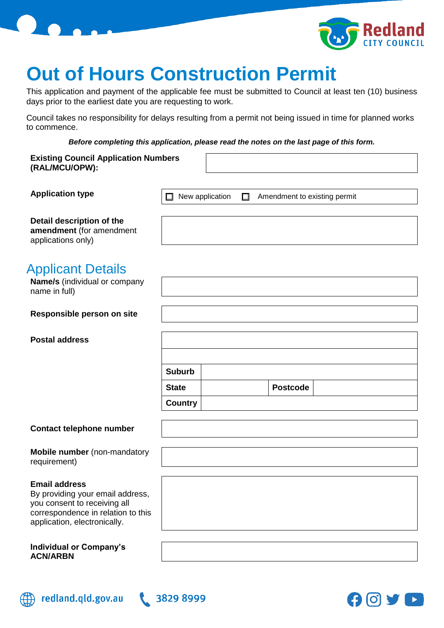



# **Out of Hours Construction Permit**

This application and payment of the applicable fee must be submitted to Council at least ten (10) business days prior to the earliest date you are requesting to work.

Council takes no responsibility for delays resulting from a permit not being issued in time for planned works to commence.

*Before completing this application, please read the notes on the last page of this form.*

| Before completing this application, please read the notes on the last page of this form.                                                                       |                      |        |                              |  |
|----------------------------------------------------------------------------------------------------------------------------------------------------------------|----------------------|--------|------------------------------|--|
| <b>Existing Council Application Numbers</b><br>(RAL/MCU/OPW):                                                                                                  |                      |        |                              |  |
| <b>Application type</b>                                                                                                                                        | New application<br>ப | $\Box$ | Amendment to existing permit |  |
| Detail description of the<br>amendment (for amendment<br>applications only)                                                                                    |                      |        |                              |  |
| <b>Applicant Details</b><br>Name/s (individual or company<br>name in full)                                                                                     |                      |        |                              |  |
| Responsible person on site                                                                                                                                     |                      |        |                              |  |
| <b>Postal address</b>                                                                                                                                          |                      |        |                              |  |
|                                                                                                                                                                |                      |        |                              |  |
|                                                                                                                                                                | <b>Suburb</b>        |        |                              |  |
|                                                                                                                                                                | <b>State</b>         |        | <b>Postcode</b>              |  |
|                                                                                                                                                                | <b>Country</b>       |        |                              |  |
| <b>Contact telephone number</b>                                                                                                                                |                      |        |                              |  |
| <b>Mobile number</b> (non-mandatory<br>requirement)                                                                                                            |                      |        |                              |  |
| <b>Email address</b><br>By providing your email address,<br>you consent to receiving all<br>correspondence in relation to this<br>application, electronically. |                      |        |                              |  |
| <b>Individual or Company's</b><br><b>ACN/ARBN</b>                                                                                                              |                      |        |                              |  |



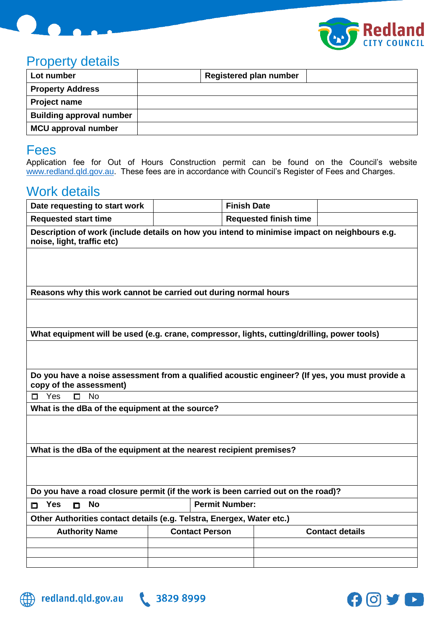



### Property details

| Lot number                      | <b>Registered plan number</b> |
|---------------------------------|-------------------------------|
| <b>Property Address</b>         |                               |
| <b>Project name</b>             |                               |
| <b>Building approval number</b> |                               |
| <b>MCU approval number</b>      |                               |

#### Fees

Application fee for Out of Hours Construction permit can be found on the Council's website [www.redland.qld.gov.au.](file:///C:/Users/jessicac/AppData/Local/Microsoft/Windows/INetCache/Content.Outlook/BODNA56T/www.redland.qld.gov.au) These fees are in accordance with Council's Register of Fees and Charges.

## Work details

| Date requesting to start work                                                                                              | <b>Finish Date</b>    |                              |                        |  |
|----------------------------------------------------------------------------------------------------------------------------|-----------------------|------------------------------|------------------------|--|
| <b>Requested start time</b>                                                                                                |                       | <b>Requested finish time</b> |                        |  |
| Description of work (include details on how you intend to minimise impact on neighbours e.g.<br>noise, light, traffic etc) |                       |                              |                        |  |
|                                                                                                                            |                       |                              |                        |  |
|                                                                                                                            |                       |                              |                        |  |
| Reasons why this work cannot be carried out during normal hours                                                            |                       |                              |                        |  |
|                                                                                                                            |                       |                              |                        |  |
|                                                                                                                            |                       |                              |                        |  |
| What equipment will be used (e.g. crane, compressor, lights, cutting/drilling, power tools)                                |                       |                              |                        |  |
|                                                                                                                            |                       |                              |                        |  |
|                                                                                                                            |                       |                              |                        |  |
| Do you have a noise assessment from a qualified acoustic engineer? (If yes, you must provide a<br>copy of the assessment)  |                       |                              |                        |  |
| <b>No</b><br>Yes<br>$\Box$<br>П.                                                                                           |                       |                              |                        |  |
| What is the dBa of the equipment at the source?                                                                            |                       |                              |                        |  |
|                                                                                                                            |                       |                              |                        |  |
|                                                                                                                            |                       |                              |                        |  |
| What is the dBa of the equipment at the nearest recipient premises?                                                        |                       |                              |                        |  |
|                                                                                                                            |                       |                              |                        |  |
|                                                                                                                            |                       |                              |                        |  |
| Do you have a road closure permit (if the work is been carried out on the road)?                                           |                       |                              |                        |  |
| <b>Permit Number:</b><br><b>No</b><br><b>Yes</b><br>$\Box$<br>n                                                            |                       |                              |                        |  |
| Other Authorities contact details (e.g. Telstra, Energex, Water etc.)                                                      |                       |                              |                        |  |
| <b>Authority Name</b>                                                                                                      | <b>Contact Person</b> |                              | <b>Contact details</b> |  |
|                                                                                                                            |                       |                              |                        |  |
|                                                                                                                            |                       |                              |                        |  |
|                                                                                                                            |                       |                              |                        |  |